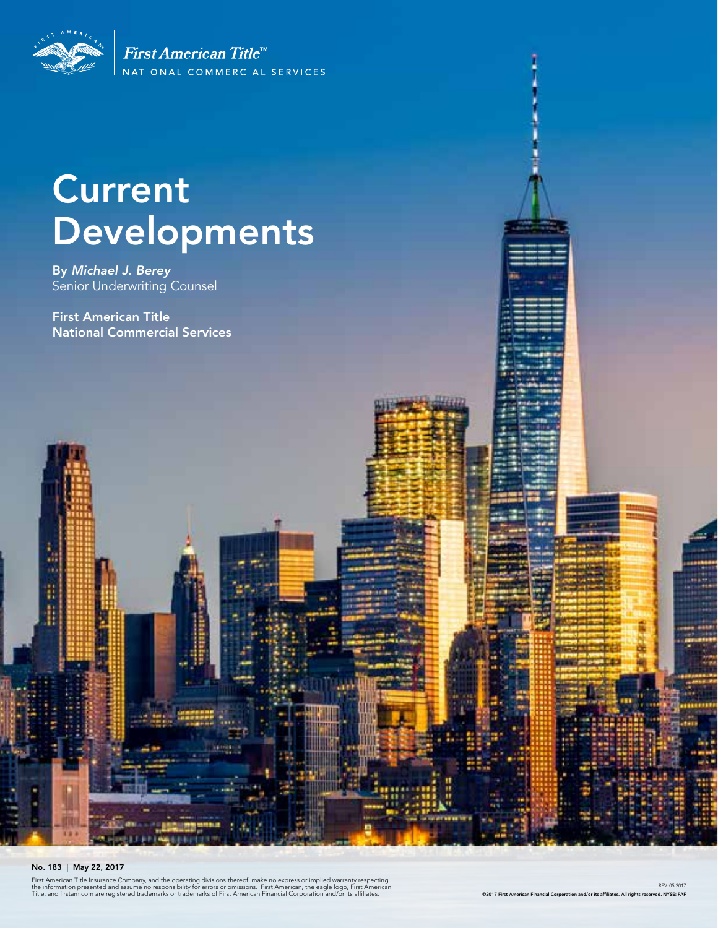

First American Title<sup>tt</sup> NATIONAL COMMERCIAL SERVICES

# Current Developments

By *Michael J. Berey*  Senior Underwriting Counsel

First American Title National Commercial Services



#### No. 183 | May 22, 2017

First American Title Insurance Company, and the operating divisions thereof, make no express or implied warranty respecting<br>the information presented and assume no responsibility for errors or omissions. First American, th

REV: 05.2017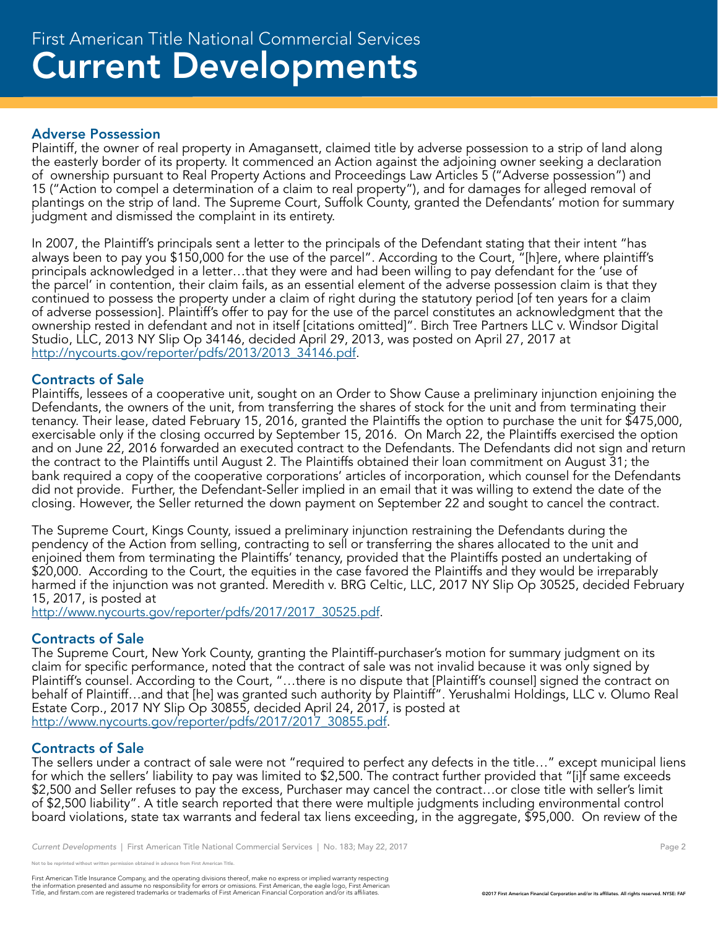#### Adverse Possession

Plaintiff, the owner of real property in Amagansett, claimed title by adverse possession to a strip of land along the easterly border of its property. It commenced an Action against the adjoining owner seeking a declaration of ownership pursuant to Real Property Actions and Proceedings Law Articles 5 ("Adverse possession") and 15 ("Action to compel a determination of a claim to real property"), and for damages for alleged removal of plantings on the strip of land. The Supreme Court, Suffolk County, granted the Defendants' motion for summary judgment and dismissed the complaint in its entirety.

In 2007, the Plaintiff's principals sent a letter to the principals of the Defendant stating that their intent "has always been to pay you \$150,000 for the use of the parcel". According to the Court, "[h]ere, where plaintiff's principals acknowledged in a letter...that they were and had been willing to pay defendant for the 'use of the parcel' in contention, their claim fails, as an essential element of the adverse possession claim is that they continued to possess the property under a claim of right during the statutory period [of ten years for a claim of adverse possession]. Plaintiff's offer to pay for the use of the parcel constitutes an acknowledgment that the ownership rested in defendant and not in itself [citations omitted]". Birch Tree Partners LLC v. Windsor Digital Studio, LLC, 2013 NY Slip Op 34146, decided April 29, 2013, was posted on April 27, 2017 at http://nycourts.gov/reporter/pdfs/2013/2013\_34146.pdf.

### Contracts of Sale

Plaintiffs, lessees of a cooperative unit, sought on an Order to Show Cause a preliminary injunction enjoining the Defendants, the owners of the unit, from transferring the shares of stock for the unit and from terminating their tenancy. Their lease, dated February 15, 2016, granted the Plaintiffs the option to purchase the unit for \$475,000, exercisable only if the closing occurred by September 15, 2016. On March 22, the Plaintiffs exercised the option and on June 22, 2016 forwarded an executed contract to the Defendants. The Defendants did not sign and return the contract to the Plaintiffs until August 2. The Plaintiffs obtained their loan commitment on August 31; the bank required a copy of the cooperative corporations' articles of incorporation, which counsel for the Defendants did not provide. Further, the Defendant-Seller implied in an email that it was willing to extend the date of the closing. However, the Seller returned the down payment on September 22 and sought to cancel the contract.

The Supreme Court, Kings County, issued a preliminary injunction restraining the Defendants during the pendency of the Action from selling, contracting to sell or transferring the shares allocated to the unit and enjoined them from terminating the Plaintiffs' tenancy, provided that the Plaintiffs posted an undertaking of \$20,000. According to the Court, the equities in the case favored the Plaintiffs and they would be irreparably harmed if the injunction was not granted. Meredith v. BRG Celtic, LLC, 2017 NY Slip Op 30525, decided February 15, 2017, is posted at

http://www.nycourts.gov/reporter/pdfs/2017/2017\_30525.pdf.

### Contracts of Sale

The Supreme Court, New York County, granting the Plaintiff-purchaser's motion for summary judgment on its claim for specific performance, noted that the contract of sale was not invalid because it was only signed by Plaintiff's counsel. According to the Court, "…there is no dispute that [Plaintiff's counsel] signed the contract on behalf of Plaintiff…and that [he] was granted such authority by Plaintiff". Yerushalmi Holdings, LLC v. Olumo Real Estate Corp., 2017 NY Slip Op 30855, decided April 24, 2017, is posted at http://www.nycourts.gov/reporter/pdfs/2017/2017\_30855.pdf.

### Contracts of Sale

The sellers under a contract of sale were not "required to perfect any defects in the title…" except municipal liens for which the sellers' liability to pay was limited to \$2,500. The contract further provided that "[i]f same exceeds \$2,500 and Seller refuses to pay the excess, Purchaser may cancel the contract…or close title with seller's limit of \$2,500 liability". A title search reported that there were multiple judgments including environmental control board violations, state tax warrants and federal tax liens exceeding, in the aggregate, \$95,000. On review of the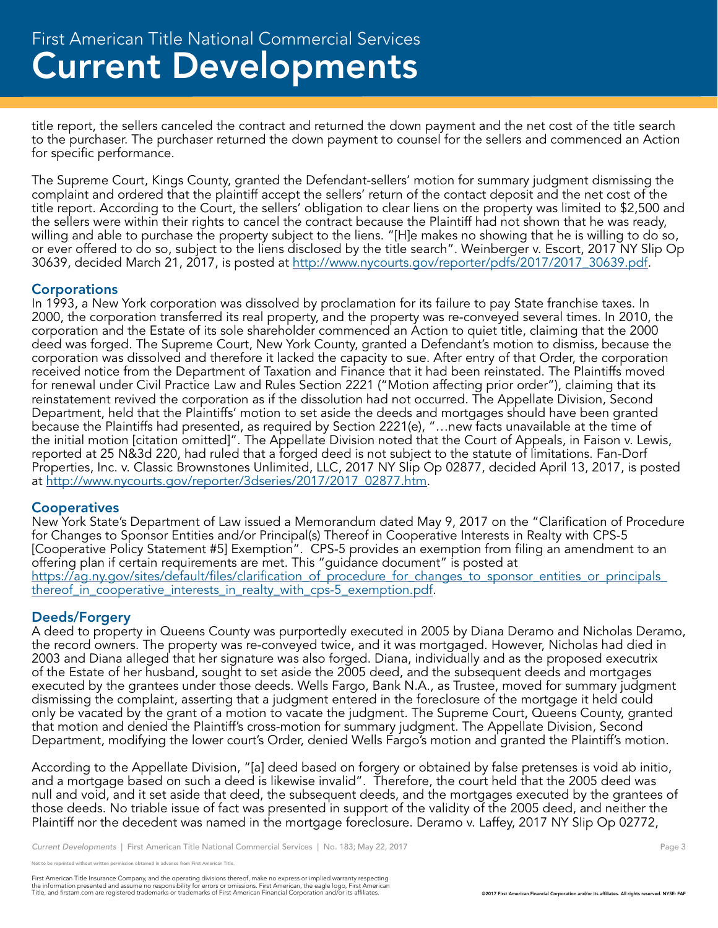title report, the sellers canceled the contract and returned the down payment and the net cost of the title search to the purchaser. The purchaser returned the down payment to counsel for the sellers and commenced an Action for specific performance.

The Supreme Court, Kings County, granted the Defendant-sellers' motion for summary judgment dismissing the complaint and ordered that the plaintiff accept the sellers' return of the contact deposit and the net cost of the title report. According to the Court, the sellers' obligation to clear liens on the property was limited to \$2,500 and the sellers were within their rights to cancel the contract because the Plaintiff had not shown that he was ready, willing and able to purchase the property subject to the liens. "[H]e makes no showing that he is willing to do so, or ever offered to do so, subject to the liens disclosed by the title search". Weinberger v. Escort, 2017 NY Slip Op 30639, decided March 21, 2017, is posted at http://www.nycourts.gov/reporter/pdfs/2017/2017\_30639.pdf.

#### **Corporations**

In 1993, a New York corporation was dissolved by proclamation for its failure to pay State franchise taxes. In 2000, the corporation transferred its real property, and the property was re-conveyed several times. In 2010, the corporation and the Estate of its sole shareholder commenced an Action to quiet title, claiming that the 2000 deed was forged. The Supreme Court, New York County, granted a Defendant's motion to dismiss, because the corporation was dissolved and therefore it lacked the capacity to sue. After entry of that Order, the corporation received notice from the Department of Taxation and Finance that it had been reinstated. The Plaintiffs moved for renewal under Civil Practice Law and Rules Section 2221 ("Motion affecting prior order"), claiming that its reinstatement revived the corporation as if the dissolution had not occurred. The Appellate Division, Second Department, held that the Plaintiffs' motion to set aside the deeds and mortgages should have been granted because the Plaintiffs had presented, as required by Section 2221(e), "…new facts unavailable at the time of the initial motion [citation omitted]". The Appellate Division noted that the Court of Appeals, in Faison v. Lewis, reported at 25 N&3d 220, had ruled that a forged deed is not subject to the statute of limitations. Fan-Dorf Properties, Inc. v. Classic Brownstones Unlimited, LLC, 2017 NY Slip Op 02877, decided April 13, 2017, is posted at http://www.nycourts.gov/reporter/3dseries/2017/2017\_02877.htm.

#### **Cooperatives**

New York State's Department of Law issued a Memorandum dated May 9, 2017 on the "Clarification of Procedure for Changes to Sponsor Entities and/or Principal(s) Thereof in Cooperative Interests in Realty with CPS-5 [Cooperative Policy Statement #5] Exemption". CPS-5 provides an exemption from filing an amendment to an offering plan if certain requirements are met. This "guidance document" is posted at https://ag.ny.gov/sites/default/files/clarification\_of\_procedure\_for\_changes\_to\_sponsor\_entities\_or\_principals thereof in cooperative interests in realty with cps-5 exemption.pdf.

#### Deeds/Forgery

A deed to property in Queens County was purportedly executed in 2005 by Diana Deramo and Nicholas Deramo, the record owners. The property was re-conveyed twice, and it was mortgaged. However, Nicholas had died in 2003 and Diana alleged that her signature was also forged. Diana, individually and as the proposed executrix of the Estate of her husband, sought to set aside the 2005 deed, and the subsequent deeds and mortgages executed by the grantees under those deeds. Wells Fargo, Bank N.A., as Trustee, moved for summary judgment dismissing the complaint, asserting that a judgment entered in the foreclosure of the mortgage it held could only be vacated by the grant of a motion to vacate the judgment. The Supreme Court, Queens County, granted that motion and denied the Plaintiff's cross-motion for summary judgment. The Appellate Division, Second Department, modifying the lower court's Order, denied Wells Fargo's motion and granted the Plaintiff's motion.

According to the Appellate Division, "[a] deed based on forgery or obtained by false pretenses is void ab initio, and a mortgage based on such a deed is likewise invalid". Therefore, the court held that the 2005 deed was null and void, and it set aside that deed, the subsequent deeds, and the mortgages executed by the grantees of those deeds. No triable issue of fact was presented in support of the validity of the 2005 deed, and neither the Plaintiff nor the decedent was named in the mortgage foreclosure. Deramo v. Laffey, 2017 NY Slip Op 02772,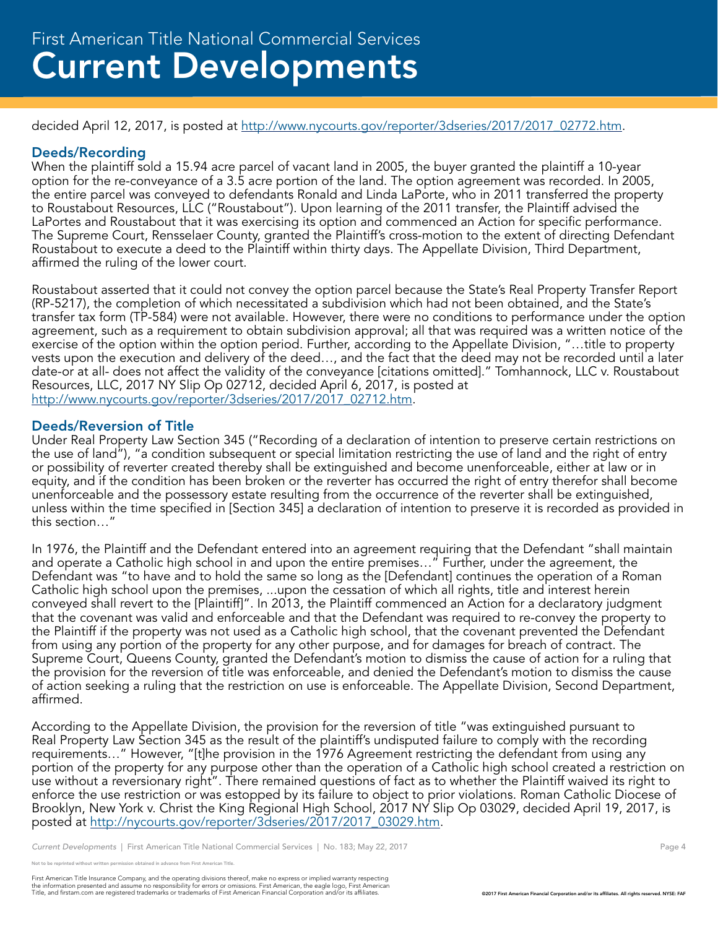decided April 12, 2017, is posted at http://www.nycourts.gov/reporter/3dseries/2017/2017\_02772.htm.

#### Deeds/Recording

When the plaintiff sold a 15.94 acre parcel of vacant land in 2005, the buyer granted the plaintiff a 10-year option for the re-conveyance of a 3.5 acre portion of the land. The option agreement was recorded. In 2005, the entire parcel was conveyed to defendants Ronald and Linda LaPorte, who in 2011 transferred the property to Roustabout Resources, LLC ("Roustabout"). Upon learning of the 2011 transfer, the Plaintiff advised the LaPortes and Roustabout that it was exercising its option and commenced an Action for specific performance. The Supreme Court, Rensselaer County, granted the Plaintiff's cross-motion to the extent of directing Defendant Roustabout to execute a deed to the Plaintiff within thirty days. The Appellate Division, Third Department, affirmed the ruling of the lower court.

Roustabout asserted that it could not convey the option parcel because the State's Real Property Transfer Report (RP-5217), the completion of which necessitated a subdivision which had not been obtained, and the State's transfer tax form (TP-584) were not available. However, there were no conditions to performance under the option agreement, such as a requirement to obtain subdivision approval; all that was required was a written notice of the exercise of the option within the option period. Further, according to the Appellate Division, "…title to property vests upon the execution and delivery of the deed..., and the fact that the deed may not be recorded until a later date-or at all- does not affect the validity of the conveyance [citations omitted]." Tomhannock, LLC v. Roustabout Resources, LLC, 2017 NY Slip Op 02712, decided April 6, 2017, is posted at http://www.nycourts.gov/reporter/3dseries/2017/2017\_02712.htm.

#### Deeds/Reversion of Title

Under Real Property Law Section 345 ("Recording of a declaration of intention to preserve certain restrictions on the use of land"), "a condition subsequent or special limitation restricting the use of land and the right of entry or possibility of reverter created thereby shall be extinguished and become unenforceable, either at law or in equity, and if the condition has been broken or the reverter has occurred the right of entry therefor shall become unenforceable and the possessory estate resulting from the occurrence of the reverter shall be extinguished, unless within the time specified in [Section 345] a declaration of intention to preserve it is recorded as provided in this section…"

In 1976, the Plaintiff and the Defendant entered into an agreement requiring that the Defendant "shall maintain and operate a Catholic high school in and upon the entire premises…" Further, under the agreement, the Defendant was "to have and to hold the same so long as the [Defendant] continues the operation of a Roman Catholic high school upon the premises, ...upon the cessation of which all rights, title and interest herein conveyed shall revert to the [Plaintiff]". In 2013, the Plaintiff commenced an Action for a declaratory judgment that the covenant was valid and enforceable and that the Defendant was required to re-convey the property to the Plaintiff if the property was not used as a Catholic high school, that the covenant prevented the Defendant from using any portion of the property for any other purpose, and for damages for breach of contract. The Supreme Court, Queens County, granted the Defendant's motion to dismiss the cause of action for a ruling that the provision for the reversion of title was enforceable, and denied the Defendant's motion to dismiss the cause of action seeking a ruling that the restriction on use is enforceable. The Appellate Division, Second Department, affirmed.

According to the Appellate Division, the provision for the reversion of title "was extinguished pursuant to Real Property Law Section 345 as the result of the plaintiff's undisputed failure to comply with the recording requirements…" However, "[t]he provision in the 1976 Agreement restricting the defendant from using any portion of the property for any purpose other than the operation of a Catholic high school created a restriction on use without a reversionary right". There remained questions of fact as to whether the Plaintiff waived its right to enforce the use restriction or was estopped by its failure to object to prior violations. Roman Catholic Diocese of Brooklyn, New York v. Christ the King Regional High School, 2017 NY Slip Op 03029, decided April 19, 2017, is posted at http://nycourts.gov/reporter/3dseries/2017/2017\_03029.htm.

*Current Developments* | First American Title National Commercial Services | No. 183; May 22, 2017 Page 4 Page 4

not to be reprinted without written permission obtained in advance from First American Title.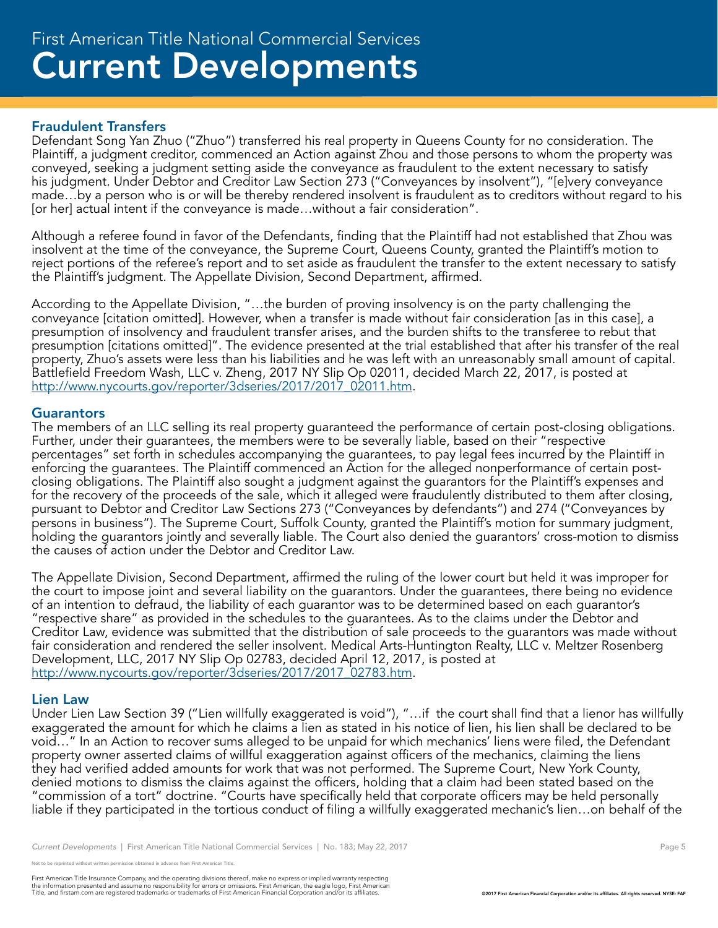#### Fraudulent Transfers

Defendant Song Yan Zhuo ("Zhuo") transferred his real property in Queens County for no consideration. The Plaintiff, a judgment creditor, commenced an Action against Zhou and those persons to whom the property was conveyed, seeking a judgment setting aside the conveyance as fraudulent to the extent necessary to satisfy his judgment. Under Debtor and Creditor Law Section 273 ("Conveyances by insolvent"), "[e]very conveyance made…by a person who is or will be thereby rendered insolvent is fraudulent as to creditors without regard to his [or her] actual intent if the conveyance is made…without a fair consideration".

Although a referee found in favor of the Defendants, finding that the Plaintiff had not established that Zhou was insolvent at the time of the conveyance, the Supreme Court, Queens County, granted the Plaintiff's motion to reject portions of the referee's report and to set aside as fraudulent the transfer to the extent necessary to satisfy the Plaintiff's judgment. The Appellate Division, Second Department, affirmed.

According to the Appellate Division, "…the burden of proving insolvency is on the party challenging the conveyance [citation omitted]. However, when a transfer is made without fair consideration [as in this case], a presumption of insolvency and fraudulent transfer arises, and the burden shifts to the transferee to rebut that presumption [citations omitted]". The evidence presented at the trial established that after his transfer of the real property, Zhuo's assets were less than his liabilities and he was left with an unreasonably small amount of capital. Battlefield Freedom Wash, LLC v. Zheng, 2017 NY Slip Op 02011, decided March 22, 2017, is posted at http://www.nycourts.gov/reporter/3dseries/2017/2017\_02011.htm.

#### **Guarantors**

The members of an LLC selling its real property guaranteed the performance of certain post-closing obligations. Further, under their guarantees, the members were to be severally liable, based on their "respective percentages" set forth in schedules accompanying the guarantees, to pay legal fees incurred by the Plaintiff in enforcing the guarantees. The Plaintiff commenced an Action for the alleged nonperformance of certain postclosing obligations. The Plaintiff also sought a judgment against the guarantors for the Plaintiff's expenses and for the recovery of the proceeds of the sale, which it alleged were fraudulently distributed to them after closing, pursuant to Debtor and Creditor Law Sections 273 ("Conveyances by defendants") and 274 ("Conveyances by persons in business"). The Supreme Court, Suffolk County, granted the Plaintiff's motion for summary judgment, holding the guarantors jointly and severally liable. The Court also denied the guarantors' cross-motion to dismiss the causes of action under the Debtor and Creditor Law.

The Appellate Division, Second Department, affirmed the ruling of the lower court but held it was improper for the court to impose joint and several liability on the guarantors. Under the guarantees, there being no evidence of an intention to defraud, the liability of each guarantor was to be determined based on each guarantor's "respective share" as provided in the schedules to the guarantees. As to the claims under the Debtor and Creditor Law, evidence was submitted that the distribution of sale proceeds to the guarantors was made without fair consideration and rendered the seller insolvent. Medical Arts-Huntington Realty, LLC v. Meltzer Rosenberg Development, LLC, 2017 NY Slip Op 02783, decided April 12, 2017, is posted at http://www.nycourts.gov/reporter/3dseries/2017/2017\_02783.htm.

#### Lien Law

Under Lien Law Section 39 ("Lien willfully exaggerated is void"), "…if the court shall find that a lienor has willfully exaggerated the amount for which he claims a lien as stated in his notice of lien, his lien shall be declared to be void…" In an Action to recover sums alleged to be unpaid for which mechanics' liens were filed, the Defendant property owner asserted claims of willful exaggeration against officers of the mechanics, claiming the liens they had verified added amounts for work that was not performed. The Supreme Court, New York County, denied motions to dismiss the claims against the officers, holding that a claim had been stated based on the "commission of a tort" doctrine. "Courts have specifically held that corporate officers may be held personally liable if they participated in the tortious conduct of filing a willfully exaggerated mechanic's lien…on behalf of the

*Current Developments* | First American Title National Commercial Services | No. 183; May 22, 2017 Page 5 Page 5

be reprinted without written permission obtained in advance from First American Title.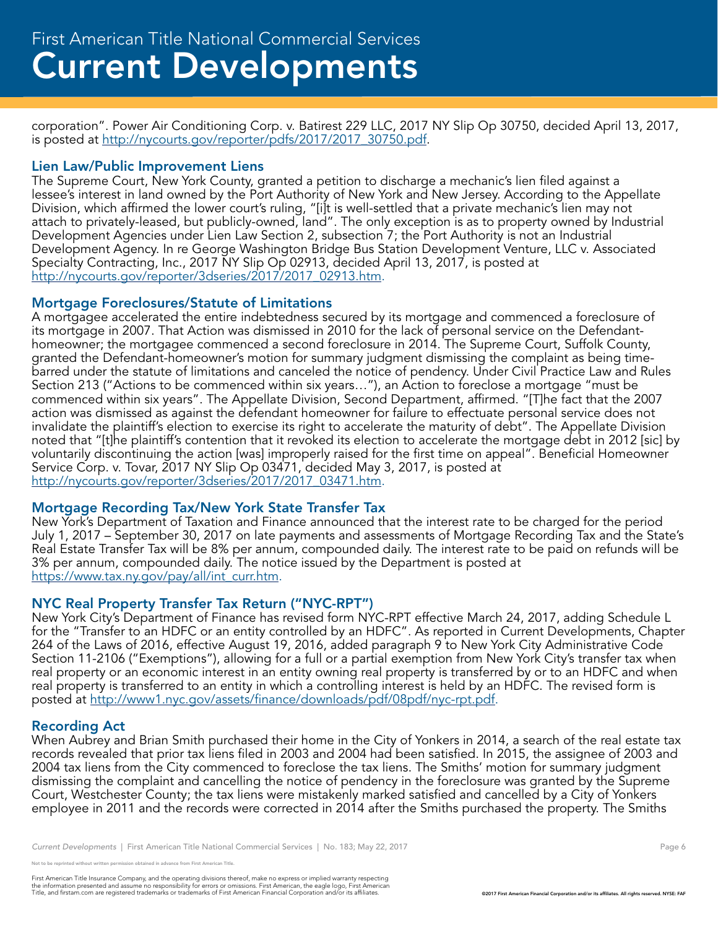corporation". Power Air Conditioning Corp. v. Batirest 229 LLC, 2017 NY Slip Op 30750, decided April 13, 2017, is posted at http://nycourts.gov/reporter/pdfs/2017/2017\_30750.pdf.

#### Lien Law/Public Improvement Liens

The Supreme Court, New York County, granted a petition to discharge a mechanic's lien filed against a lessee's interest in land owned by the Port Authority of New York and New Jersey. According to the Appellate Division, which affirmed the lower court's ruling, "[i]t is well-settled that a private mechanic's lien may not attach to privately-leased, but publicly-owned, land". The only exception is as to property owned by Industrial Development Agencies under Lien Law Section 2, subsection 7; the Port Authority is not an Industrial Development Agency. In re George Washington Bridge Bus Station Development Venture, LLC v. Associated Specialty Contracting, Inc., 2017 NY Slip Op 02913, decided April 13, 2017, is posted at http://nycourts.gov/reporter/3dseries/2017/2017\_02913.htm.

#### Mortgage Foreclosures/Statute of Limitations

A mortgagee accelerated the entire indebtedness secured by its mortgage and commenced a foreclosure of its mortgage in 2007. That Action was dismissed in 2010 for the lack of personal service on the Defendanthomeowner; the mortgagee commenced a second foreclosure in 2014. The Supreme Court, Suffolk County, granted the Defendant-homeowner's motion for summary judgment dismissing the complaint as being timebarred under the statute of limitations and canceled the notice of pendency. Under Civil Practice Law and Rules Section 213 ("Actions to be commenced within six years…"), an Action to foreclose a mortgage "must be commenced within six years". The Appellate Division, Second Department, affirmed. "[T]he fact that the 2007 action was dismissed as against the defendant homeowner for failure to effectuate personal service does not invalidate the plaintiff's election to exercise its right to accelerate the maturity of debt". The Appellate Division noted that "[t]he plaintiff's contention that it revoked its election to accelerate the mortgage debt in 2012 [sic] by voluntarily discontinuing the action [was] improperly raised for the first time on appeal". Beneficial Homeowner Service Corp. v. Tovar, 2017 NY Slip Op 03471, decided May 3, 2017, is posted at http://nycourts.gov/reporter/3dseries/2017/2017\_03471.htm.

#### Mortgage Recording Tax/New York State Transfer Tax

New York's Department of Taxation and Finance announced that the interest rate to be charged for the period July 1, 2017 – September 30, 2017 on late payments and assessments of Mortgage Recording Tax and the State's Real Estate Transfer Tax will be 8% per annum, compounded daily. The interest rate to be paid on refunds will be 3% per annum, compounded daily. The notice issued by the Department is posted at https://www.tax.ny.gov/pay/all/int\_curr.htm.

#### NYC Real Property Transfer Tax Return ("NYC-RPT")

New York City's Department of Finance has revised form NYC-RPT effective March 24, 2017, adding Schedule L for the "Transfer to an HDFC or an entity controlled by an HDFC". As reported in Current Developments, Chapter 264 of the Laws of 2016, effective August 19, 2016, added paragraph 9 to New York City Administrative Code Section 11-2106 ("Exemptions"), allowing for a full or a partial exemption from New York City's transfer tax when real property or an economic interest in an entity owning real property is transferred by or to an HDFC and when real property is transferred to an entity in which a controlling interest is held by an HDFC. The revised form is posted at http://www1.nyc.gov/assets/finance/downloads/pdf/08pdf/nyc-rpt.pdf.

#### Recording Act

When Aubrey and Brian Smith purchased their home in the City of Yonkers in 2014, a search of the real estate tax records revealed that prior tax liens filed in 2003 and 2004 had been satisfied. In 2015, the assignee of 2003 and 2004 tax liens from the City commenced to foreclose the tax liens. The Smiths' motion for summary judgment dismissing the complaint and cancelling the notice of pendency in the foreclosure was granted by the Supreme Court, Westchester County; the tax liens were mistakenly marked satisfied and cancelled by a City of Yonkers employee in 2011 and the records were corrected in 2014 after the Smiths purchased the property. The Smiths